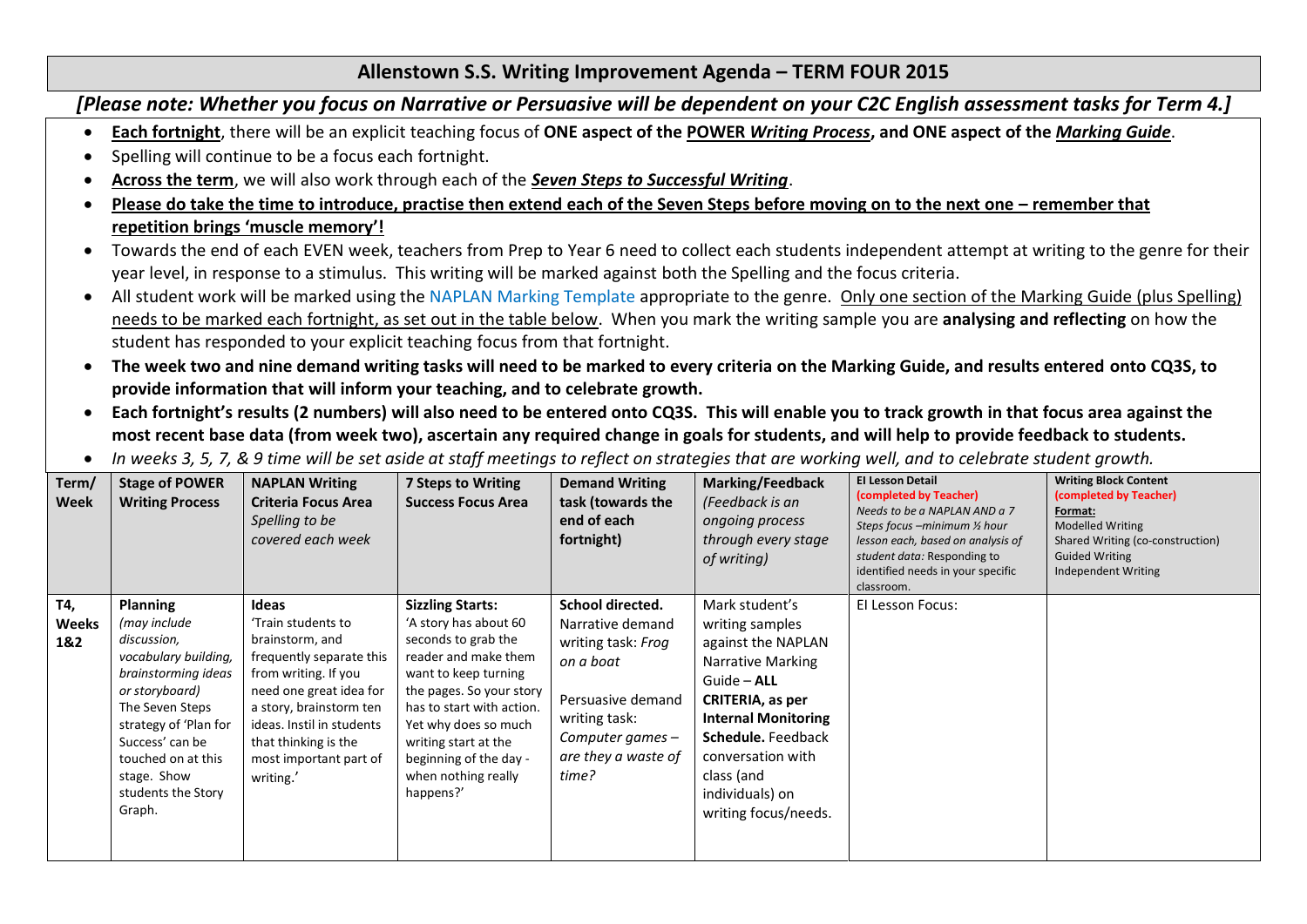## **Allenstown S.S. Writing Improvement Agenda – TERM FOUR 2015**

*[Please note: Whether you focus on Narrative or Persuasive will be dependent on your C2C English assessment tasks for Term 4.]*

- **Each fortnight**, there will be an explicit teaching focus of **ONE aspect of the POWER** *Writing Process***, and ONE aspect of the** *Marking Guide*.
- Spelling will continue to be a focus each fortnight.
- **Across the term**, we will also work through each of the *Seven Steps to Successful Writing*.
- **Please do take the time to introduce, practise then extend each of the Seven Steps before moving on to the next one – remember that repetition brings 'muscle memory'!**
- Towards the end of each EVEN week, teachers from Prep to Year 6 need to collect each students independent attempt at writing to the genre for their year level, in response to a stimulus. This writing will be marked against both the Spelling and the focus criteria.
- All student work will be marked using the NAPLAN Marking Template appropriate to the genre. Only one section of the Marking Guide (plus Spelling) needs to be marked each fortnight, as set out in the table below. When you mark the writing sample you are **analysing and reflecting** on how the student has responded to your explicit teaching focus from that fortnight.
- **The week two and nine demand writing tasks will need to be marked to every criteria on the Marking Guide, and results entered onto CQ3S, to provide information that will inform your teaching, and to celebrate growth.**
- **Each fortnight's results (2 numbers) will also need to be entered onto CQ3S. This will enable you to track growth in that focus area against the most recent base data (from week two), ascertain any required change in goals for students, and will help to provide feedback to students.**
- *In weeks 3, 5, 7, & 9 time will be set aside at staff meetings to reflect on strategies that are working well, and to celebrate student growth.*

| Term/<br><b>Week</b>       | <b>Stage of POWER</b><br><b>Writing Process</b>                                                                                                                                                                                                     | <b>NAPLAN Writing</b><br><b>Criteria Focus Area</b><br>Spelling to be<br>covered each week                                                                                                                                                           | 7 Steps to Writing<br><b>Success Focus Area</b>                                                                                                                                                                                                                                                | <b>Demand Writing</b><br>task (towards the<br>end of each<br>fortnight)                                                                                             | <b>Marking/Feedback</b><br>(Feedback is an<br>ongoing process<br>through every stage<br>of writing)                                                                                                                                               | <b>El Lesson Detail</b><br>(completed by Teacher)<br>Needs to be a NAPLAN AND a 7<br>Steps focus -minimum 1/2 hour<br>lesson each, based on analysis of<br>student data: Responding to<br>identified needs in your specific<br>classroom. | <b>Writing Block Content</b><br>(completed by Teacher)<br>Format:<br><b>Modelled Writing</b><br>Shared Writing (co-construction)<br><b>Guided Writing</b><br>Independent Writing |
|----------------------------|-----------------------------------------------------------------------------------------------------------------------------------------------------------------------------------------------------------------------------------------------------|------------------------------------------------------------------------------------------------------------------------------------------------------------------------------------------------------------------------------------------------------|------------------------------------------------------------------------------------------------------------------------------------------------------------------------------------------------------------------------------------------------------------------------------------------------|---------------------------------------------------------------------------------------------------------------------------------------------------------------------|---------------------------------------------------------------------------------------------------------------------------------------------------------------------------------------------------------------------------------------------------|-------------------------------------------------------------------------------------------------------------------------------------------------------------------------------------------------------------------------------------------|----------------------------------------------------------------------------------------------------------------------------------------------------------------------------------|
| T4,<br><b>Weeks</b><br>1&2 | <b>Planning</b><br>(may include<br>discussion,<br>vocabulary building,<br>brainstorming ideas<br>or storyboard)<br>The Seven Steps<br>strategy of 'Plan for<br>Success' can be<br>touched on at this<br>stage. Show<br>students the Story<br>Graph. | Ideas<br>'Train students to<br>brainstorm, and<br>frequently separate this<br>from writing. If you<br>need one great idea for<br>a story, brainstorm ten<br>ideas. Instil in students<br>that thinking is the<br>most important part of<br>writing.' | <b>Sizzling Starts:</b><br>'A story has about 60<br>seconds to grab the<br>reader and make them<br>want to keep turning<br>the pages. So your story<br>has to start with action.<br>Yet why does so much<br>writing start at the<br>beginning of the day -<br>when nothing really<br>happens?' | School directed.<br>Narrative demand<br>writing task: Frog<br>on a boat<br>Persuasive demand<br>writing task:<br>Computer games $-$<br>are they a waste of<br>time? | Mark student's<br>writing samples<br>against the NAPLAN<br>Narrative Marking<br>Guide - ALL<br>CRITERIA, as per<br><b>Internal Monitoring</b><br>Schedule. Feedback<br>conversation with<br>class (and<br>individuals) on<br>writing focus/needs. | El Lesson Focus:                                                                                                                                                                                                                          |                                                                                                                                                                                  |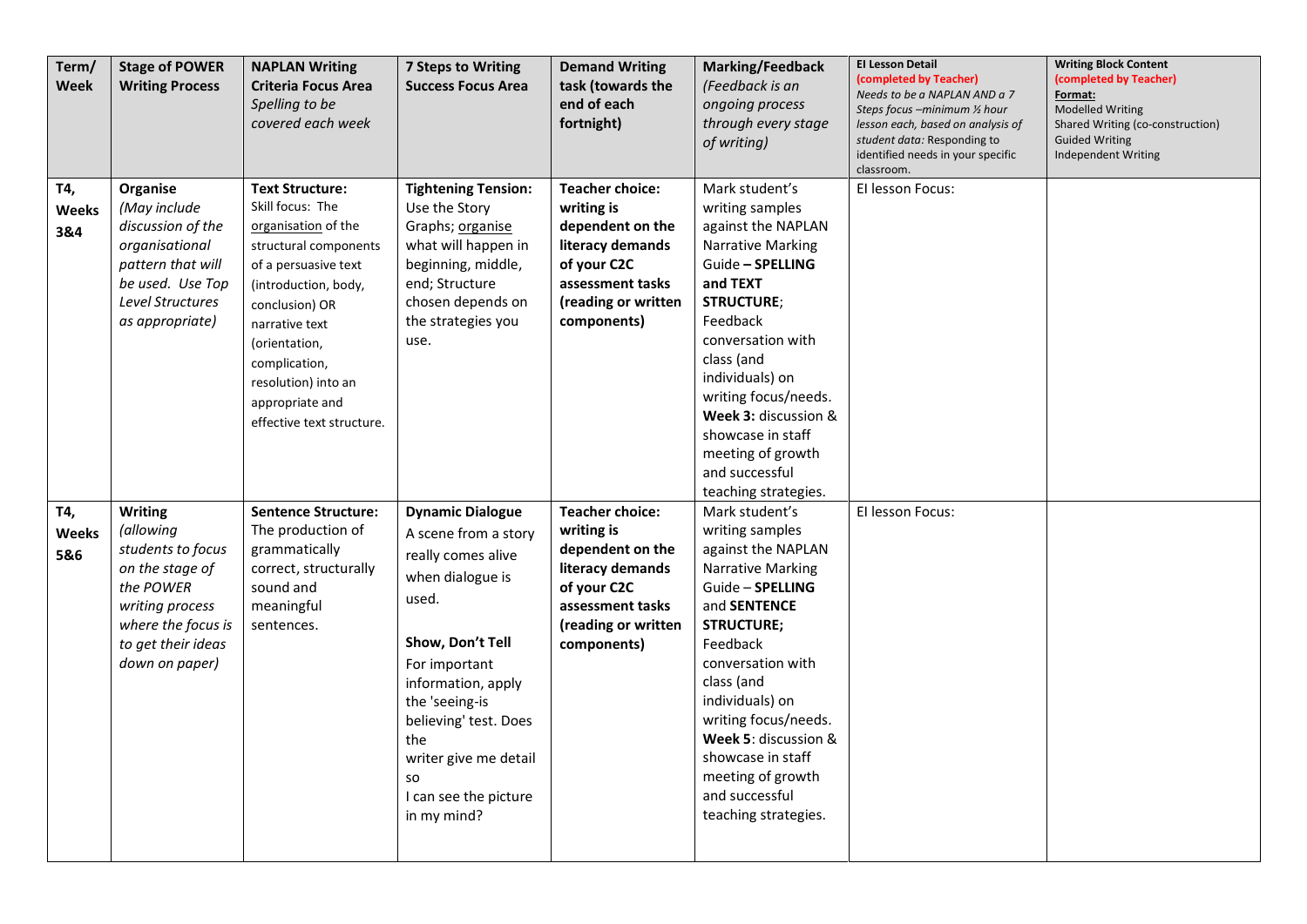| Term/<br><b>Week</b>       | <b>Stage of POWER</b><br><b>Writing Process</b>                                                                                                                   | <b>NAPLAN Writing</b><br><b>Criteria Focus Area</b><br>Spelling to be<br>covered each week                                                                                                                                                                                              | <b>7 Steps to Writing</b><br><b>Success Focus Area</b>                                                                                                                                                                                                                                        | <b>Demand Writing</b><br>task (towards the<br>end of each<br>fortnight)                                                                               | <b>Marking/Feedback</b><br>(Feedback is an<br>ongoing process<br>through every stage<br>of writing)                                                                                                                                                                                                                                                | <b>El Lesson Detail</b><br>(completed by Teacher)<br>Needs to be a NAPLAN AND a 7<br>Steps focus –minimum ½ hour<br>lesson each, based on analysis of<br>student data: Responding to<br>identified needs in your specific<br>classroom. | <b>Writing Block Content</b><br>(completed by Teacher)<br>Format:<br><b>Modelled Writing</b><br>Shared Writing (co-construction)<br><b>Guided Writing</b><br>Independent Writing |
|----------------------------|-------------------------------------------------------------------------------------------------------------------------------------------------------------------|-----------------------------------------------------------------------------------------------------------------------------------------------------------------------------------------------------------------------------------------------------------------------------------------|-----------------------------------------------------------------------------------------------------------------------------------------------------------------------------------------------------------------------------------------------------------------------------------------------|-------------------------------------------------------------------------------------------------------------------------------------------------------|----------------------------------------------------------------------------------------------------------------------------------------------------------------------------------------------------------------------------------------------------------------------------------------------------------------------------------------------------|-----------------------------------------------------------------------------------------------------------------------------------------------------------------------------------------------------------------------------------------|----------------------------------------------------------------------------------------------------------------------------------------------------------------------------------|
| T4,<br>Weeks<br>3&4        | Organise<br>(May include<br>discussion of the<br>organisational<br>pattern that will<br>be used. Use Top<br>Level Structures<br>as appropriate)                   | <b>Text Structure:</b><br>Skill focus: The<br>organisation of the<br>structural components<br>of a persuasive text<br>(introduction, body,<br>conclusion) OR<br>narrative text<br>(orientation,<br>complication,<br>resolution) into an<br>appropriate and<br>effective text structure. | <b>Tightening Tension:</b><br>Use the Story<br>Graphs; organise<br>what will happen in<br>beginning, middle,<br>end; Structure<br>chosen depends on<br>the strategies you<br>use.                                                                                                             | <b>Teacher choice:</b><br>writing is<br>dependent on the<br>literacy demands<br>of your C2C<br>assessment tasks<br>(reading or written<br>components) | Mark student's<br>writing samples<br>against the NAPLAN<br>Narrative Marking<br>Guide - SPELLING<br>and TEXT<br><b>STRUCTURE;</b><br>Feedback<br>conversation with<br>class (and<br>individuals) on<br>writing focus/needs.<br>Week 3: discussion &<br>showcase in staff<br>meeting of growth<br>and successful<br>teaching strategies.            | El lesson Focus:                                                                                                                                                                                                                        |                                                                                                                                                                                  |
| T4,<br><b>Weeks</b><br>5&6 | <b>Writing</b><br>(allowing<br>students to focus<br>on the stage of<br>the POWER<br>writing process<br>where the focus is<br>to get their ideas<br>down on paper) | <b>Sentence Structure:</b><br>The production of<br>grammatically<br>correct, structurally<br>sound and<br>meaningful<br>sentences.                                                                                                                                                      | <b>Dynamic Dialogue</b><br>A scene from a story<br>really comes alive<br>when dialogue is<br>used.<br>Show, Don't Tell<br>For important<br>information, apply<br>the 'seeing-is<br>believing' test. Does<br>the<br>writer give me detail<br><b>SO</b><br>I can see the picture<br>in my mind? | <b>Teacher choice:</b><br>writing is<br>dependent on the<br>literacy demands<br>of your C2C<br>assessment tasks<br>(reading or written<br>components) | Mark student's<br>writing samples<br>against the NAPLAN<br>Narrative Marking<br>Guide - SPELLING<br>and <b>SENTENCE</b><br><b>STRUCTURE;</b><br>Feedback<br>conversation with<br>class (and<br>individuals) on<br>writing focus/needs.<br>Week 5: discussion &<br>showcase in staff<br>meeting of growth<br>and successful<br>teaching strategies. | El lesson Focus:                                                                                                                                                                                                                        |                                                                                                                                                                                  |